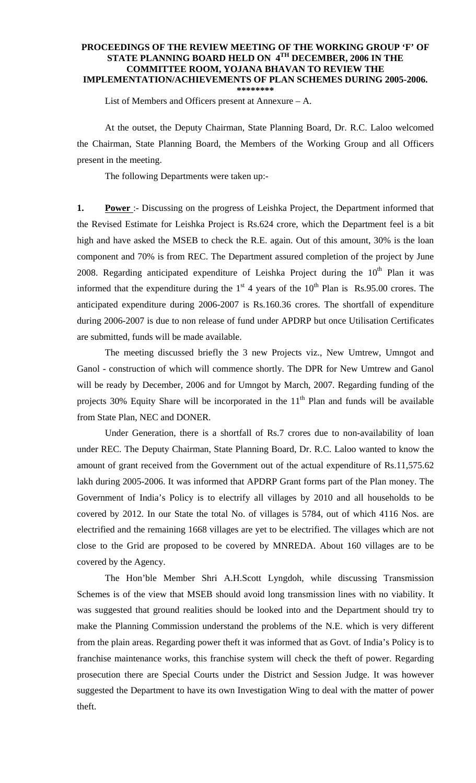## **PROCEEDINGS OF THE REVIEW MEETING OF THE WORKING GROUP 'F' OF STATE PLANNING BOARD HELD ON 4TH DECEMBER, 2006 IN THE COMMITTEE ROOM, YOJANA BHAVAN TO REVIEW THE IMPLEMENTATION/ACHIEVEMENTS OF PLAN SCHEMES DURING 2005-2006. \*\*\*\*\*\*\*\***

List of Members and Officers present at Annexure – A.

 At the outset, the Deputy Chairman, State Planning Board, Dr. R.C. Laloo welcomed the Chairman, State Planning Board, the Members of the Working Group and all Officers present in the meeting.

The following Departments were taken up:-

**1. Power**: Discussing on the progress of Leishka Project, the Department informed that the Revised Estimate for Leishka Project is Rs.624 crore, which the Department feel is a bit high and have asked the MSEB to check the R.E. again. Out of this amount, 30% is the loan component and 70% is from REC. The Department assured completion of the project by June 2008. Regarding anticipated expenditure of Leishka Project during the  $10<sup>th</sup>$  Plan it was informed that the expenditure during the  $1<sup>st</sup>$  4 years of the  $10<sup>th</sup>$  Plan is Rs.95.00 crores. The anticipated expenditure during 2006-2007 is Rs.160.36 crores. The shortfall of expenditure during 2006-2007 is due to non release of fund under APDRP but once Utilisation Certificates are submitted, funds will be made available.

 The meeting discussed briefly the 3 new Projects viz., New Umtrew, Umngot and Ganol - construction of which will commence shortly. The DPR for New Umtrew and Ganol will be ready by December, 2006 and for Umngot by March, 2007. Regarding funding of the projects 30% Equity Share will be incorporated in the  $11<sup>th</sup>$  Plan and funds will be available from State Plan, NEC and DONER.

 Under Generation, there is a shortfall of Rs.7 crores due to non-availability of loan under REC. The Deputy Chairman, State Planning Board, Dr. R.C. Laloo wanted to know the amount of grant received from the Government out of the actual expenditure of Rs.11,575.62 lakh during 2005-2006. It was informed that APDRP Grant forms part of the Plan money. The Government of India's Policy is to electrify all villages by 2010 and all households to be covered by 2012. In our State the total No. of villages is 5784, out of which 4116 Nos. are electrified and the remaining 1668 villages are yet to be electrified. The villages which are not close to the Grid are proposed to be covered by MNREDA. About 160 villages are to be covered by the Agency.

The Hon'ble Member Shri A.H.Scott Lyngdoh, while discussing Transmission Schemes is of the view that MSEB should avoid long transmission lines with no viability. It was suggested that ground realities should be looked into and the Department should try to make the Planning Commission understand the problems of the N.E. which is very different from the plain areas. Regarding power theft it was informed that as Govt. of India's Policy is to franchise maintenance works, this franchise system will check the theft of power. Regarding prosecution there are Special Courts under the District and Session Judge. It was however suggested the Department to have its own Investigation Wing to deal with the matter of power theft.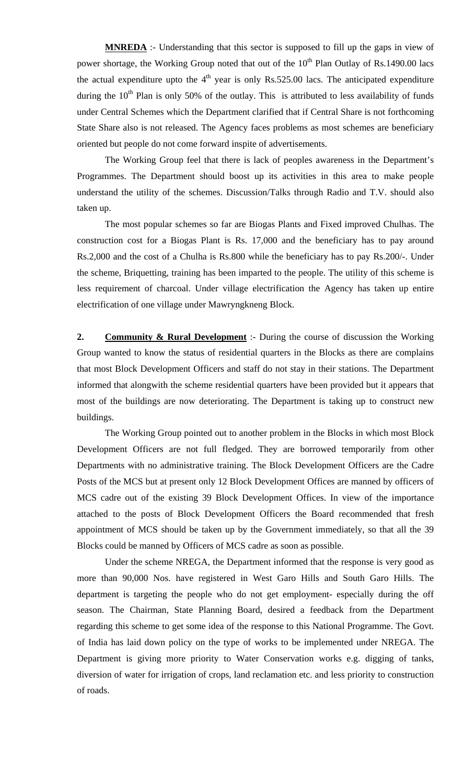**MNREDA** :- Understanding that this sector is supposed to fill up the gaps in view of power shortage, the Working Group noted that out of the  $10<sup>th</sup>$  Plan Outlay of Rs.1490.00 lacs the actual expenditure upto the  $4<sup>th</sup>$  year is only Rs.525.00 lacs. The anticipated expenditure during the  $10<sup>th</sup>$  Plan is only 50% of the outlay. This is attributed to less availability of funds under Central Schemes which the Department clarified that if Central Share is not forthcoming State Share also is not released. The Agency faces problems as most schemes are beneficiary oriented but people do not come forward inspite of advertisements.

 The Working Group feel that there is lack of peoples awareness in the Department's Programmes. The Department should boost up its activities in this area to make people understand the utility of the schemes. Discussion/Talks through Radio and T.V. should also taken up.

 The most popular schemes so far are Biogas Plants and Fixed improved Chulhas. The construction cost for a Biogas Plant is Rs. 17,000 and the beneficiary has to pay around Rs.2,000 and the cost of a Chulha is Rs.800 while the beneficiary has to pay Rs.200/-. Under the scheme, Briquetting, training has been imparted to the people. The utility of this scheme is less requirement of charcoal. Under village electrification the Agency has taken up entire electrification of one village under Mawryngkneng Block.

**2. Community & Rural Development** :- During the course of discussion the Working Group wanted to know the status of residential quarters in the Blocks as there are complains that most Block Development Officers and staff do not stay in their stations. The Department informed that alongwith the scheme residential quarters have been provided but it appears that most of the buildings are now deteriorating. The Department is taking up to construct new buildings.

 The Working Group pointed out to another problem in the Blocks in which most Block Development Officers are not full fledged. They are borrowed temporarily from other Departments with no administrative training. The Block Development Officers are the Cadre Posts of the MCS but at present only 12 Block Development Offices are manned by officers of MCS cadre out of the existing 39 Block Development Offices. In view of the importance attached to the posts of Block Development Officers the Board recommended that fresh appointment of MCS should be taken up by the Government immediately, so that all the 39 Blocks could be manned by Officers of MCS cadre as soon as possible.

 Under the scheme NREGA, the Department informed that the response is very good as more than 90,000 Nos. have registered in West Garo Hills and South Garo Hills. The department is targeting the people who do not get employment- especially during the off season. The Chairman, State Planning Board, desired a feedback from the Department regarding this scheme to get some idea of the response to this National Programme. The Govt. of India has laid down policy on the type of works to be implemented under NREGA. The Department is giving more priority to Water Conservation works e.g. digging of tanks, diversion of water for irrigation of crops, land reclamation etc. and less priority to construction of roads.